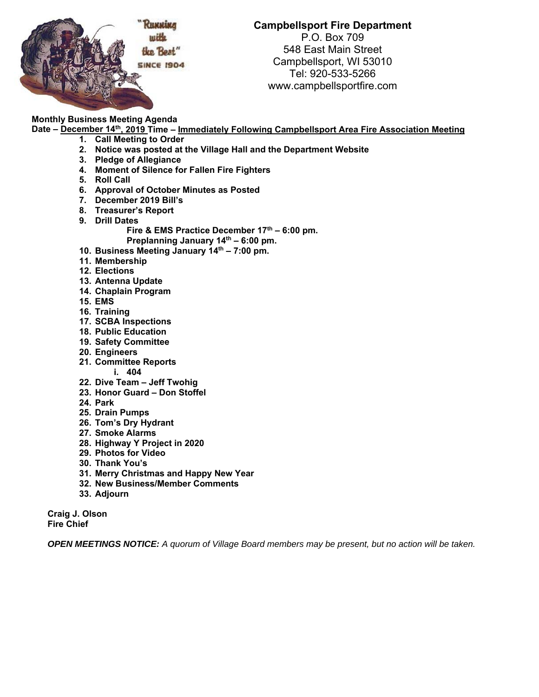

**Campbellsport Fire Department** 

P.O. Box 709 548 East Main Street Campbellsport, WI 53010 Tel: 920-533-5266 www.campbellsportfire.com

# **Monthly Business Meeting Agenda**

**Date – December 14th, 2019 Time – Immediately Following Campbellsport Area Fire Association Meeting** 

- **1. Call Meeting to Order**
- **2. Notice was posted at the Village Hall and the Department Website**
- **3. Pledge of Allegiance**
- **4. Moment of Silence for Fallen Fire Fighters**
- **5. Roll Call**
- **6. Approval of October Minutes as Posted**
- **7. December 2019 Bill's**
- **8. Treasurer's Report**
- **9. Drill Dates**  Fire & EMS Practice December 17<sup>th</sup> – 6:00 pm.
- Preplanning January 14<sup>th</sup> 6:00 pm. **10. Business Meeting January 14th – 7:00 pm.**
- **11. Membership**
- **12. Elections**
- 
- **13. Antenna Update 14. Chaplain Program**
- **15. EMS**
- **16. Training**
- **17. SCBA Inspections**
- **18. Public Education**
- **19. Safety Committee**
- **20. Engineers**
- **21. Committee Reports**
- **i. 404**
- **22. Dive Team Jeff Twohig**
- **23. Honor Guard Don Stoffel**
- **24. Park**
- **25. Drain Pumps**
- **26. Tom's Dry Hydrant**
- **27. Smoke Alarms**
- **28. Highway Y Project in 2020**
- **29. Photos for Video**
- **30. Thank You's**
- **31. Merry Christmas and Happy New Year**
- **32. New Business/Member Comments**
- **33. Adjourn**

**Craig J. Olson Fire Chief** 

*OPEN MEETINGS NOTICE: A quorum of Village Board members may be present, but no action will be taken.*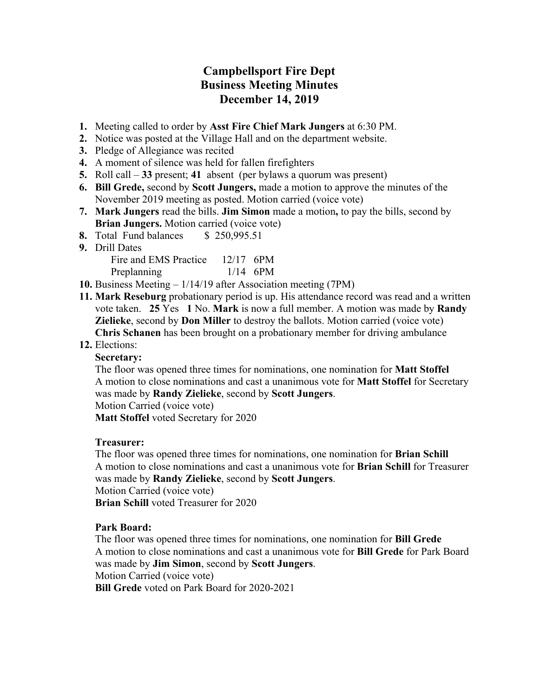# **Campbellsport Fire Dept Business Meeting Minutes December 14, 2019**

- **1.** Meeting called to order by **Asst Fire Chief Mark Jungers** at 6:30 PM.
- **2.** Notice was posted at the Village Hall and on the department website.
- **3.** Pledge of Allegiance was recited
- **4.** A moment of silence was held for fallen firefighters
- **5.** Roll call **33** present; **41** absent (per bylaws a quorum was present)
- **6. Bill Grede,** second by **Scott Jungers,** made a motion to approve the minutes of the November 2019 meeting as posted. Motion carried (voice vote)
- **7. Mark Jungers** read the bills. **Jim Simon** made a motion**,** to pay the bills, second by **Brian Jungers.** Motion carried (voice vote)
- **8.** Total Fund balances \$ 250,995.51
- **9.** Drill Dates

| Fire and EMS Practice | $12/17$ 6PM |            |
|-----------------------|-------------|------------|
| Preplanning           |             | $1/14$ 6PM |

- **10.** Business Meeting 1/14/19 after Association meeting (7PM)
- **11. Mark Reseburg** probationary period is up. His attendance record was read and a written vote taken. **25** Yes **1** No. **Mark** is now a full member. A motion was made by **Randy Zielieke**, second by **Don Miller** to destroy the ballots. Motion carried (voice vote) **Chris Schanen** has been brought on a probationary member for driving ambulance

#### **12.** Elections:

#### **Secretary:**

The floor was opened three times for nominations, one nomination for **Matt Stoffel** A motion to close nominations and cast a unanimous vote for **Matt Stoffel** for Secretary was made by **Randy Zielieke**, second by **Scott Jungers**.

Motion Carried (voice vote)

**Matt Stoffel** voted Secretary for 2020

#### **Treasurer:**

The floor was opened three times for nominations, one nomination for **Brian Schill** A motion to close nominations and cast a unanimous vote for **Brian Schill** for Treasurer was made by **Randy Zielieke**, second by **Scott Jungers**.

Motion Carried (voice vote)

**Brian Schill** voted Treasurer for 2020

#### **Park Board:**

The floor was opened three times for nominations, one nomination for **Bill Grede** A motion to close nominations and cast a unanimous vote for **Bill Grede** for Park Board was made by **Jim Simon**, second by **Scott Jungers**. Motion Carried (voice vote)

**Bill Grede** voted on Park Board for 2020-2021